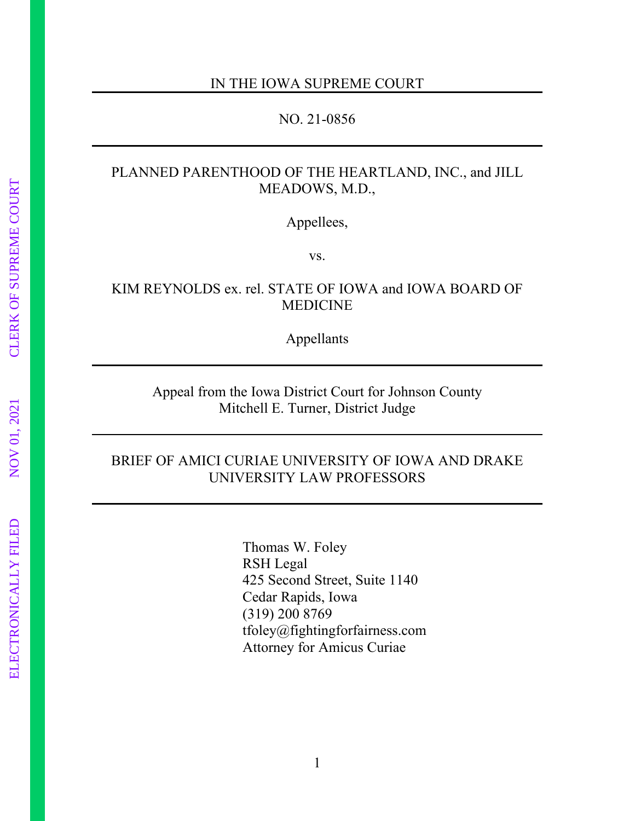#### IN THE IOWA SUPREME COURT

#### NO. 21-0856

## PLANNED PARENTHOOD OF THE HEARTLAND, INC., and JILL MEADOWS, M.D.,

Appellees,

vs.

### KIM REYNOLDS ex. rel. STATE OF IOWA and IOWA BOARD OF MEDICINE

Appellants

### Appeal from the Iowa District Court for Johnson County Mitchell E. Turner, District Judge

### BRIEF OF AMICI CURIAE UNIVERSITY OF IOWA AND DRAKE UNIVERSITY LAW PROFESSORS

Thomas W. Foley RSH Legal 425 Second Street, Suite 1140 Cedar Rapids, Iowa (319) 200 8769 tfoley@fightingforfairness.com Attorney for Amicus Curiae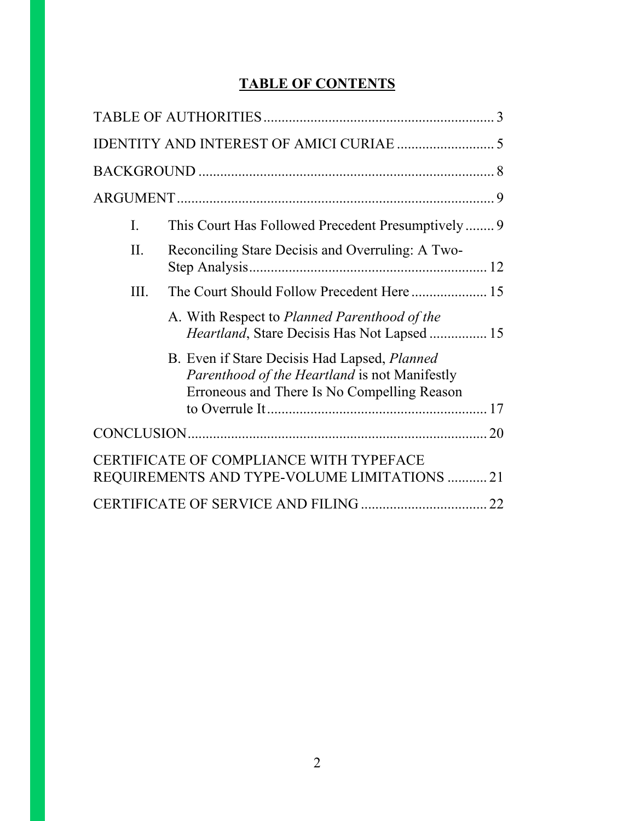# **TABLE OF CONTENTS**

| L.                                                                                      | This Court Has Followed Precedent Presumptively                                                                                              |  |
|-----------------------------------------------------------------------------------------|----------------------------------------------------------------------------------------------------------------------------------------------|--|
| II.                                                                                     | Reconciling Stare Decisis and Overruling: A Two-                                                                                             |  |
| III.                                                                                    |                                                                                                                                              |  |
|                                                                                         | A. With Respect to Planned Parenthood of the<br><i>Heartland</i> , Stare Decisis Has Not Lapsed  15                                          |  |
|                                                                                         | B. Even if Stare Decisis Had Lapsed, Planned<br>Parenthood of the Heartland is not Manifestly<br>Erroneous and There Is No Compelling Reason |  |
|                                                                                         |                                                                                                                                              |  |
| CERTIFICATE OF COMPLIANCE WITH TYPEFACE<br>REQUIREMENTS AND TYPE-VOLUME LIMITATIONS  21 |                                                                                                                                              |  |
|                                                                                         |                                                                                                                                              |  |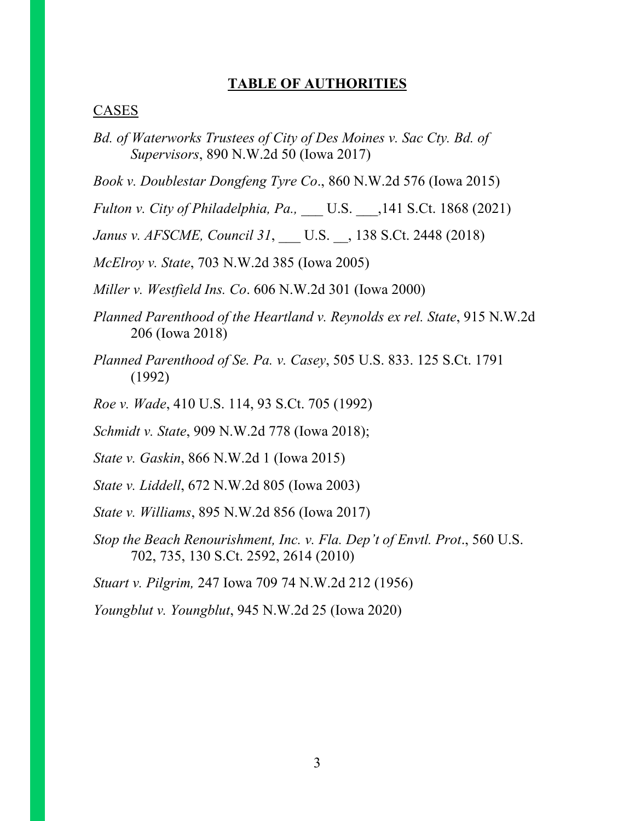### **TABLE OF AUTHORITIES**

#### CASES

- *Bd. of Waterworks Trustees of City of Des Moines v. Sac Cty. Bd. of Supervisors*, 890 N.W.2d 50 (Iowa 2017)
- *Book v. Doublestar Dongfeng Tyre Co*., 860 N.W.2d 576 (Iowa 2015)
- *Fulton v. City of Philadelphia, Pa.,* \_\_\_ U.S. \_\_\_,141 S.Ct. 1868 (2021)
- *Janus v. AFSCME, Council 31*, \_\_\_ U.S. \_\_, 138 S.Ct. 2448 (2018)
- *McElroy v. State*, 703 N.W.2d 385 (Iowa 2005)
- *Miller v. Westfield Ins. Co*. 606 N.W.2d 301 (Iowa 2000)
- *Planned Parenthood of the Heartland v. Reynolds ex rel. State*, 915 N.W.2d 206 (Iowa 2018)
- *Planned Parenthood of Se. Pa. v. Casey*, 505 U.S. 833. 125 S.Ct. 1791 (1992)
- *Roe v. Wade*, 410 U.S. 114, 93 S.Ct. 705 (1992)
- *Schmidt v. State*, 909 N.W.2d 778 (Iowa 2018);
- *State v. Gaskin*, 866 N.W.2d 1 (Iowa 2015)
- *State v. Liddell*, 672 N.W.2d 805 (Iowa 2003)
- *State v. Williams*, 895 N.W.2d 856 (Iowa 2017)
- *Stop the Beach Renourishment, Inc. v. Fla. Dep't of Envtl. Prot*., 560 U.S. 702, 735, 130 S.Ct. 2592, 2614 (2010)

*Stuart v. Pilgrim,* 247 Iowa 709 74 N.W.2d 212 (1956)

*Youngblut v. Youngblut*, 945 N.W.2d 25 (Iowa 2020)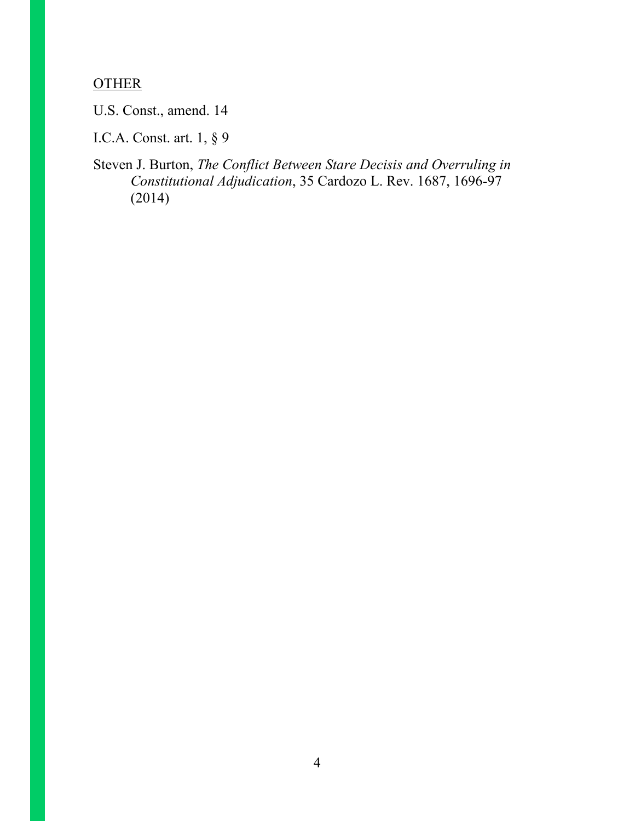# **OTHER**

U.S. Const., amend. 14

I.C.A. Const. art. 1, § 9

Steven J. Burton, *The Conflict Between Stare Decisis and Overruling in Constitutional Adjudication*, 35 Cardozo L. Rev. 1687, 1696-97 (2014)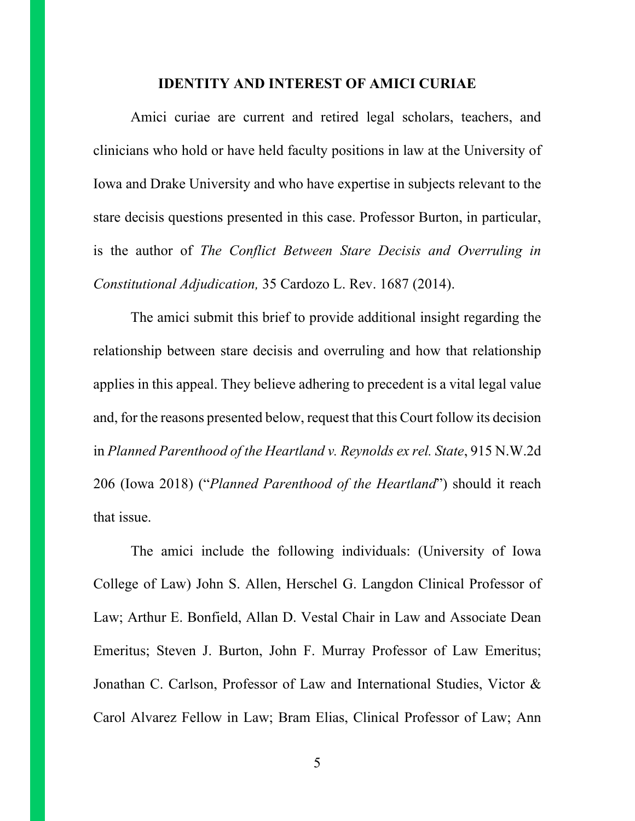#### **IDENTITY AND INTEREST OF AMICI CURIAE**

Amici curiae are current and retired legal scholars, teachers, and clinicians who hold or have held faculty positions in law at the University of Iowa and Drake University and who have expertise in subjects relevant to the stare decisis questions presented in this case. Professor Burton, in particular, is the author of *The Conflict Between Stare Decisis and Overruling in Constitutional Adjudication,* 35 Cardozo L. Rev. 1687 (2014).

The amici submit this brief to provide additional insight regarding the relationship between stare decisis and overruling and how that relationship applies in this appeal. They believe adhering to precedent is a vital legal value and, for the reasons presented below, request that this Court follow its decision in *Planned Parenthood of the Heartland v. Reynolds ex rel. State*, 915 N.W.2d 206 (Iowa 2018) ("*Planned Parenthood of the Heartland*") should it reach that issue.

The amici include the following individuals: (University of Iowa College of Law) John S. Allen, Herschel G. Langdon Clinical Professor of Law; Arthur E. Bonfield, Allan D. Vestal Chair in Law and Associate Dean Emeritus; Steven J. Burton, John F. Murray Professor of Law Emeritus; Jonathan C. Carlson, Professor of Law and International Studies, Victor & Carol Alvarez Fellow in Law; Bram Elias, Clinical Professor of Law; Ann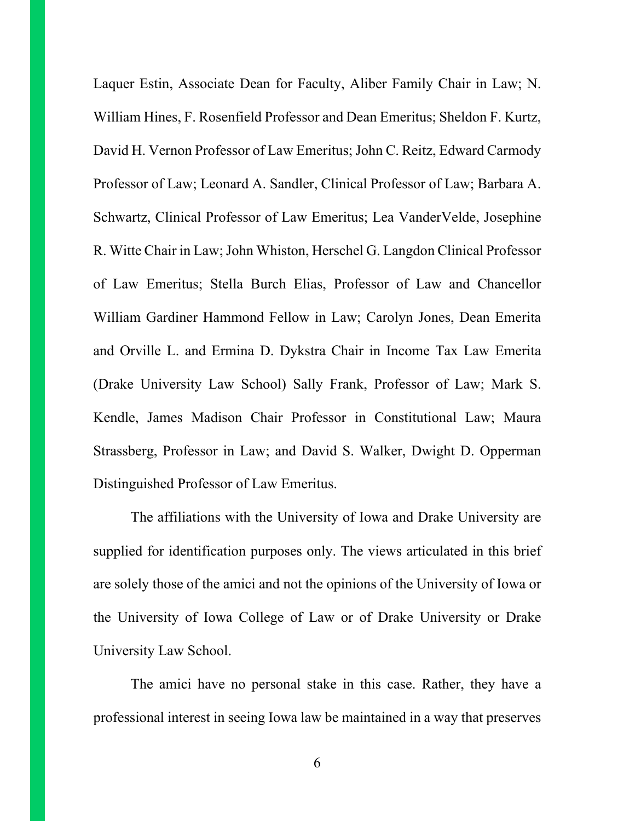Laquer Estin, Associate Dean for Faculty, Aliber Family Chair in Law; N. William Hines, F. Rosenfield Professor and Dean Emeritus; Sheldon F. Kurtz, David H. Vernon Professor of Law Emeritus; John C. Reitz, Edward Carmody Professor of Law; Leonard A. Sandler, Clinical Professor of Law; Barbara A. Schwartz, Clinical Professor of Law Emeritus; Lea VanderVelde, Josephine R. Witte Chair in Law; John Whiston, Herschel G. Langdon Clinical Professor of Law Emeritus; Stella Burch Elias, Professor of Law and Chancellor William Gardiner Hammond Fellow in Law; Carolyn Jones, Dean Emerita and Orville L. and Ermina D. Dykstra Chair in Income Tax Law Emerita (Drake University Law School) Sally Frank, Professor of Law; Mark S. Kendle, James Madison Chair Professor in Constitutional Law; Maura Strassberg, Professor in Law; and David S. Walker, Dwight D. Opperman Distinguished Professor of Law Emeritus.

The affiliations with the University of Iowa and Drake University are supplied for identification purposes only. The views articulated in this brief are solely those of the amici and not the opinions of the University of Iowa or the University of Iowa College of Law or of Drake University or Drake University Law School.

The amici have no personal stake in this case. Rather, they have a professional interest in seeing Iowa law be maintained in a way that preserves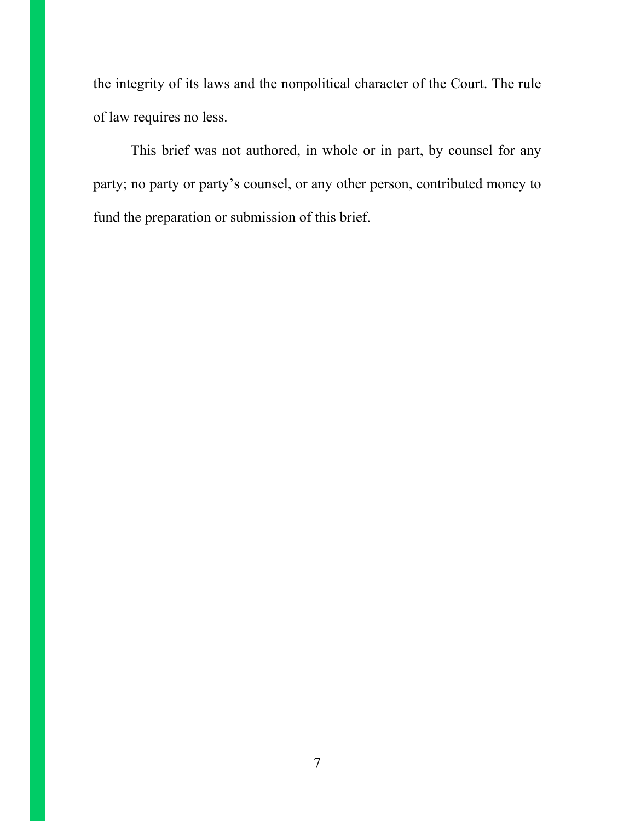the integrity of its laws and the nonpolitical character of the Court. The rule of law requires no less.

This brief was not authored, in whole or in part, by counsel for any party; no party or party's counsel, or any other person, contributed money to fund the preparation or submission of this brief.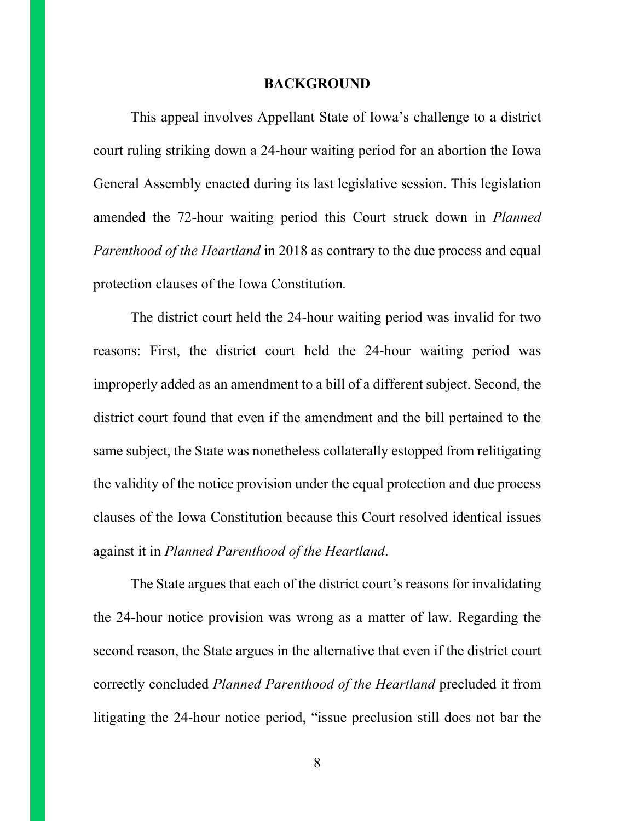#### **BACKGROUND**

This appeal involves Appellant State of Iowa's challenge to a district court ruling striking down a 24-hour waiting period for an abortion the Iowa General Assembly enacted during its last legislative session. This legislation amended the 72-hour waiting period this Court struck down in *Planned Parenthood of the Heartland* in 2018 as contrary to the due process and equal protection clauses of the Iowa Constitution*.* 

The district court held the 24-hour waiting period was invalid for two reasons: First, the district court held the 24-hour waiting period was improperly added as an amendment to a bill of a different subject. Second, the district court found that even if the amendment and the bill pertained to the same subject, the State was nonetheless collaterally estopped from relitigating the validity of the notice provision under the equal protection and due process clauses of the Iowa Constitution because this Court resolved identical issues against it in *Planned Parenthood of the Heartland*.

The State argues that each of the district court's reasons for invalidating the 24-hour notice provision was wrong as a matter of law. Regarding the second reason, the State argues in the alternative that even if the district court correctly concluded *Planned Parenthood of the Heartland* precluded it from litigating the 24-hour notice period, "issue preclusion still does not bar the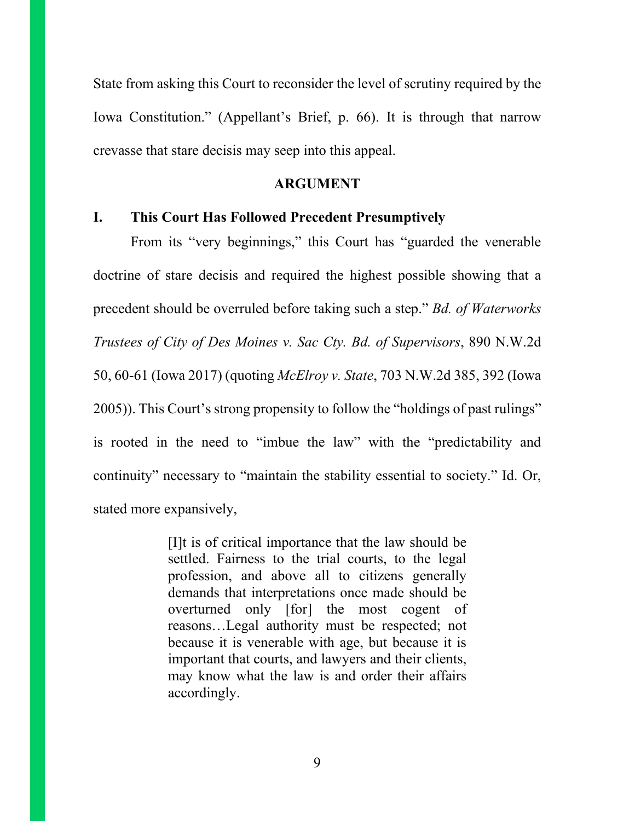State from asking this Court to reconsider the level of scrutiny required by the Iowa Constitution." (Appellant's Brief, p. 66). It is through that narrow crevasse that stare decisis may seep into this appeal.

#### **ARGUMENT**

#### **I. This Court Has Followed Precedent Presumptively**

From its "very beginnings," this Court has "guarded the venerable doctrine of stare decisis and required the highest possible showing that a precedent should be overruled before taking such a step." *Bd. of Waterworks Trustees of City of Des Moines v. Sac Cty. Bd. of Supervisors*, 890 N.W.2d 50, 60-61 (Iowa 2017) (quoting *McElroy v. State*, 703 N.W.2d 385, 392 (Iowa 2005)). This Court's strong propensity to follow the "holdings of past rulings" is rooted in the need to "imbue the law" with the "predictability and continuity" necessary to "maintain the stability essential to society." Id. Or, stated more expansively,

> [I]t is of critical importance that the law should be settled. Fairness to the trial courts, to the legal profession, and above all to citizens generally demands that interpretations once made should be overturned only [for] the most cogent of reasons…Legal authority must be respected; not because it is venerable with age, but because it is important that courts, and lawyers and their clients, may know what the law is and order their affairs accordingly.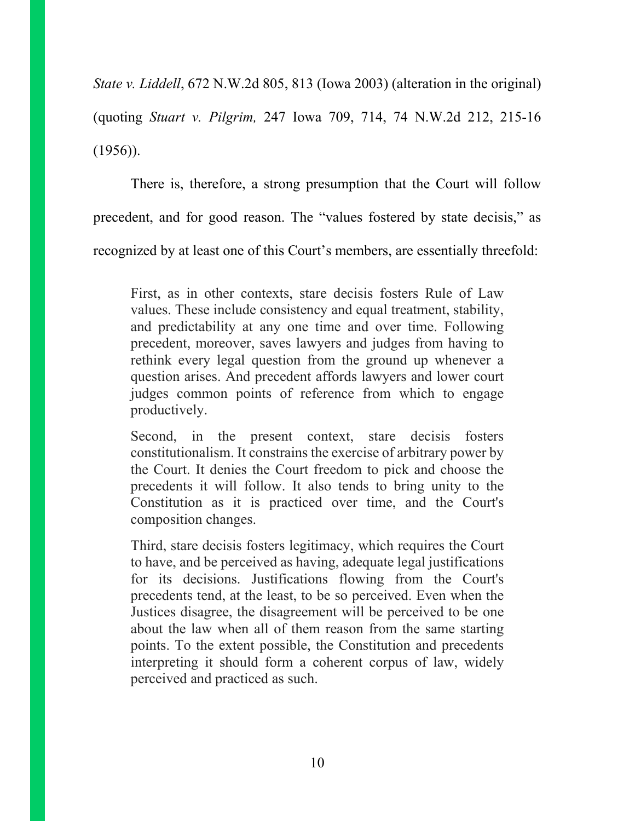*State v. Liddell*, 672 N.W.2d 805, 813 (Iowa 2003) (alteration in the original) (quoting *Stuart v. Pilgrim,* 247 Iowa 709, 714, 74 N.W.2d 212, 215-16  $(1956)$ ).

There is, therefore, a strong presumption that the Court will follow precedent, and for good reason. The "values fostered by state decisis," as recognized by at least one of this Court's members, are essentially threefold:

First, as in other contexts, stare decisis fosters Rule of Law values. These include consistency and equal treatment, stability, and predictability at any one time and over time. Following precedent, moreover, saves lawyers and judges from having to rethink every legal question from the ground up whenever a question arises. And precedent affords lawyers and lower court judges common points of reference from which to engage productively.

Second, in the present context, stare decisis fosters constitutionalism. It constrains the exercise of arbitrary power by the Court. It denies the Court freedom to pick and choose the precedents it will follow. It also tends to bring unity to the Constitution as it is practiced over time, and the Court's composition changes.

Third, stare decisis fosters legitimacy, which requires the Court to have, and be perceived as having, adequate legal justifications for its decisions. Justifications flowing from the Court's precedents tend, at the least, to be so perceived. Even when the Justices disagree, the disagreement will be perceived to be one about the law when all of them reason from the same starting points. To the extent possible, the Constitution and precedents interpreting it should form a coherent corpus of law, widely perceived and practiced as such.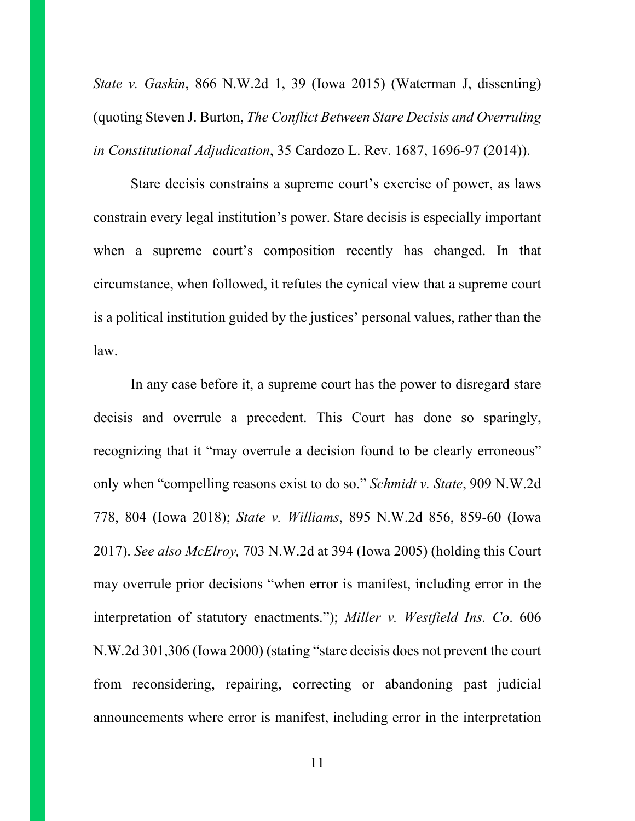*State v. Gaskin*, 866 N.W.2d 1, 39 (Iowa 2015) (Waterman J, dissenting) (quoting Steven J. Burton, *The Conflict Between Stare Decisis and Overruling in Constitutional Adjudication*, 35 Cardozo L. Rev. 1687, 1696-97 (2014)).

Stare decisis constrains a supreme court's exercise of power, as laws constrain every legal institution's power. Stare decisis is especially important when a supreme court's composition recently has changed. In that circumstance, when followed, it refutes the cynical view that a supreme court is a political institution guided by the justices' personal values, rather than the law.

In any case before it, a supreme court has the power to disregard stare decisis and overrule a precedent. This Court has done so sparingly, recognizing that it "may overrule a decision found to be clearly erroneous" only when "compelling reasons exist to do so." *Schmidt v. State*, 909 N.W.2d 778, 804 (Iowa 2018); *State v. Williams*, 895 N.W.2d 856, 859-60 (Iowa 2017). *See also McElroy,* 703 N.W.2d at 394 (Iowa 2005) (holding this Court may overrule prior decisions "when error is manifest, including error in the interpretation of statutory enactments."); *Miller v. Westfield Ins. Co*. 606 N.W.2d 301,306 (Iowa 2000) (stating "stare decisis does not prevent the court from reconsidering, repairing, correcting or abandoning past judicial announcements where error is manifest, including error in the interpretation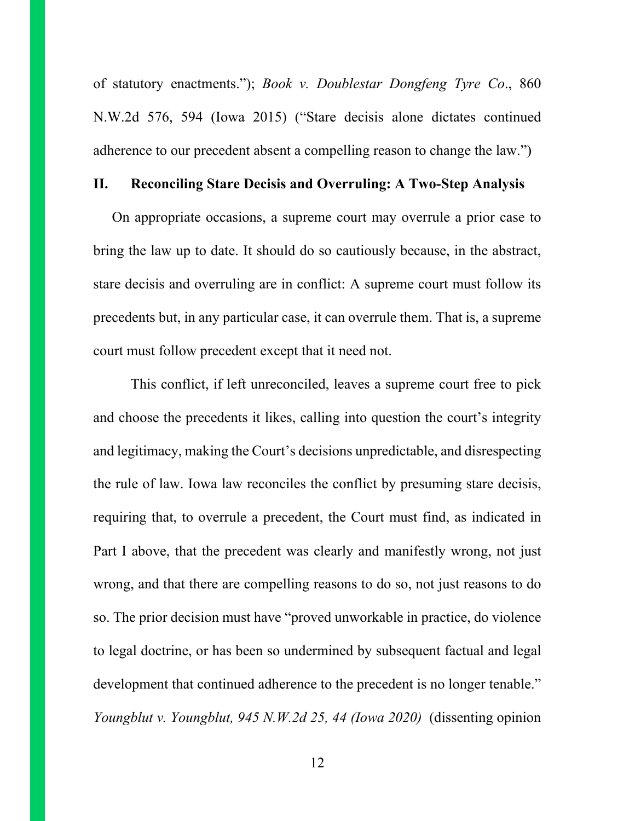of statutory enactments."); *Book v. Doublestar Dongfeng Tyre Co*., 860 N.W.2d 576, 594 (Iowa 2015) ("Stare decisis alone dictates continued adherence to our precedent absent a compelling reason to change the law.")

### **II. Reconciling Stare Decisis and Overruling: A Two-Step Analysis**

On appropriate occasions, a supreme court may overrule a prior case to bring the law up to date. It should do so cautiously because, in the abstract, stare decisis and overruling are in conflict: A supreme court must follow its precedents but, in any particular case, it can overrule them. That is, a supreme court must follow precedent except that it need not.

This conflict, if left unreconciled, leaves a supreme court free to pick and choose the precedents it likes, calling into question the court's integrity and legitimacy, making the Court's decisions unpredictable, and disrespecting the rule of law. Iowa law reconciles the conflict by presuming stare decisis, requiring that, to overrule a precedent, the Court must find, as indicated in Part I above, that the precedent was clearly and manifestly wrong, not just wrong, and that there are compelling reasons to do so, not just reasons to do so. The prior decision must have "proved unworkable in practice, do violence to legal doctrine, or has been so undermined by subsequent factual and legal development that continued adherence to the precedent is no longer tenable." *Youngblut v. Youngblut, 945 N.W.2d 25, 44 (Iowa 2020)* (dissenting opinion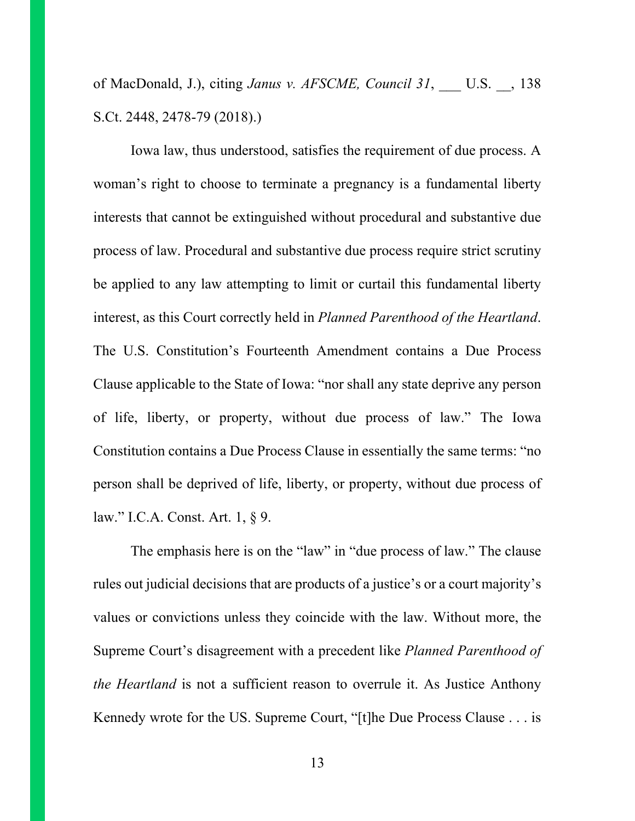of MacDonald, J.), citing *Janus v. AFSCME, Council 31*, \_\_\_ U.S. \_\_, 138 S.Ct. 2448, 2478-79 (2018).)

Iowa law, thus understood, satisfies the requirement of due process. A woman's right to choose to terminate a pregnancy is a fundamental liberty interests that cannot be extinguished without procedural and substantive due process of law. Procedural and substantive due process require strict scrutiny be applied to any law attempting to limit or curtail this fundamental liberty interest, as this Court correctly held in *Planned Parenthood of the Heartland*. The U.S. Constitution's Fourteenth Amendment contains a Due Process Clause applicable to the State of Iowa: "nor shall any state deprive any person of life, liberty, or property, without due process of law." The Iowa Constitution contains a Due Process Clause in essentially the same terms: "no person shall be deprived of life, liberty, or property, without due process of law." I.C.A. Const. Art. 1, § 9.

The emphasis here is on the "law" in "due process of law." The clause rules out judicial decisions that are products of a justice's or a court majority's values or convictions unless they coincide with the law. Without more, the Supreme Court's disagreement with a precedent like *Planned Parenthood of the Heartland* is not a sufficient reason to overrule it. As Justice Anthony Kennedy wrote for the US. Supreme Court, "[t]he Due Process Clause . . . is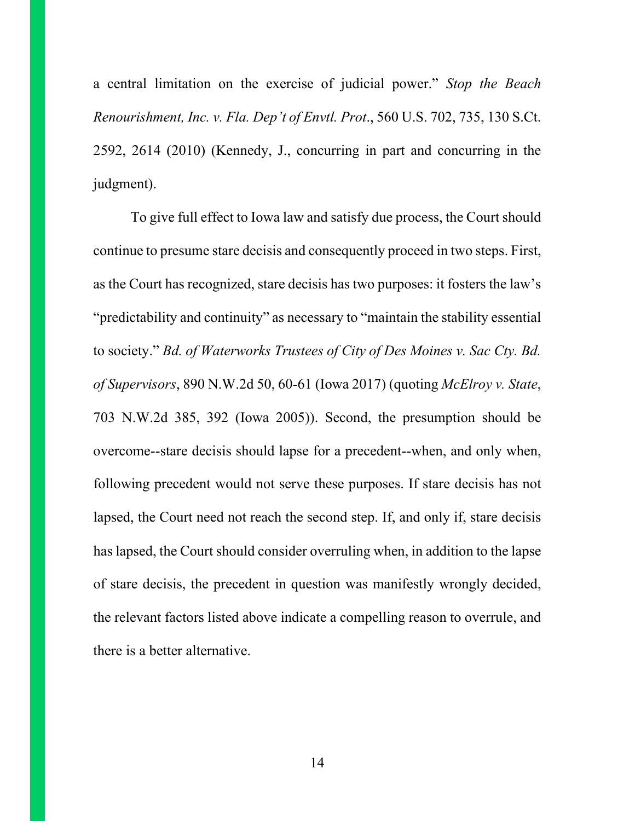a central limitation on the exercise of judicial power." *Stop the Beach Renourishment, Inc. v. Fla. Dep't of Envtl. Prot*., 560 U.S. 702, 735, 130 S.Ct. 2592, 2614 (2010) (Kennedy, J., concurring in part and concurring in the judgment).

To give full effect to Iowa law and satisfy due process, the Court should continue to presume stare decisis and consequently proceed in two steps. First, as the Court has recognized, stare decisis has two purposes: it fosters the law's "predictability and continuity" as necessary to "maintain the stability essential to society." *Bd. of Waterworks Trustees of City of Des Moines v. Sac Cty. Bd. of Supervisors*, 890 N.W.2d 50, 60-61 (Iowa 2017) (quoting *McElroy v. State*, 703 N.W.2d 385, 392 (Iowa 2005)). Second, the presumption should be overcome--stare decisis should lapse for a precedent--when, and only when, following precedent would not serve these purposes. If stare decisis has not lapsed, the Court need not reach the second step. If, and only if, stare decisis has lapsed, the Court should consider overruling when, in addition to the lapse of stare decisis, the precedent in question was manifestly wrongly decided, the relevant factors listed above indicate a compelling reason to overrule, and there is a better alternative.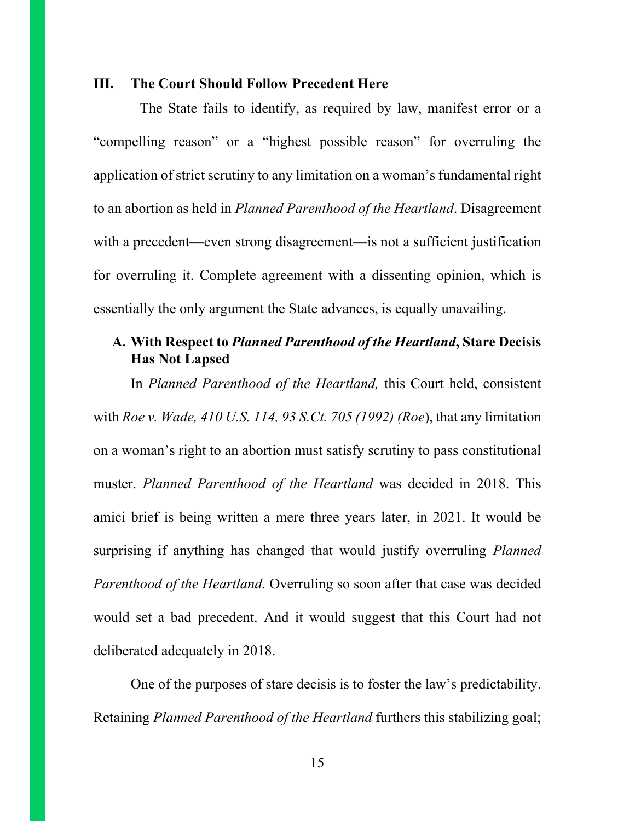#### **III. The Court Should Follow Precedent Here**

The State fails to identify, as required by law, manifest error or a "compelling reason" or a "highest possible reason" for overruling the application of strict scrutiny to any limitation on a woman's fundamental right to an abortion as held in *Planned Parenthood of the Heartland*. Disagreement with a precedent—even strong disagreement—is not a sufficient justification for overruling it. Complete agreement with a dissenting opinion, which is essentially the only argument the State advances, is equally unavailing.

# **A. With Respect to** *Planned Parenthood of the Heartland***, Stare Decisis Has Not Lapsed**

In *Planned Parenthood of the Heartland,* this Court held, consistent with *Roe v. Wade, 410 U.S. 114, 93 S.Ct. 705 (1992) (Roe*), that any limitation on a woman's right to an abortion must satisfy scrutiny to pass constitutional muster. *Planned Parenthood of the Heartland* was decided in 2018. This amici brief is being written a mere three years later, in 2021. It would be surprising if anything has changed that would justify overruling *Planned Parenthood of the Heartland.* Overruling so soon after that case was decided would set a bad precedent. And it would suggest that this Court had not deliberated adequately in 2018.

One of the purposes of stare decisis is to foster the law's predictability. Retaining *Planned Parenthood of the Heartland* furthers this stabilizing goal;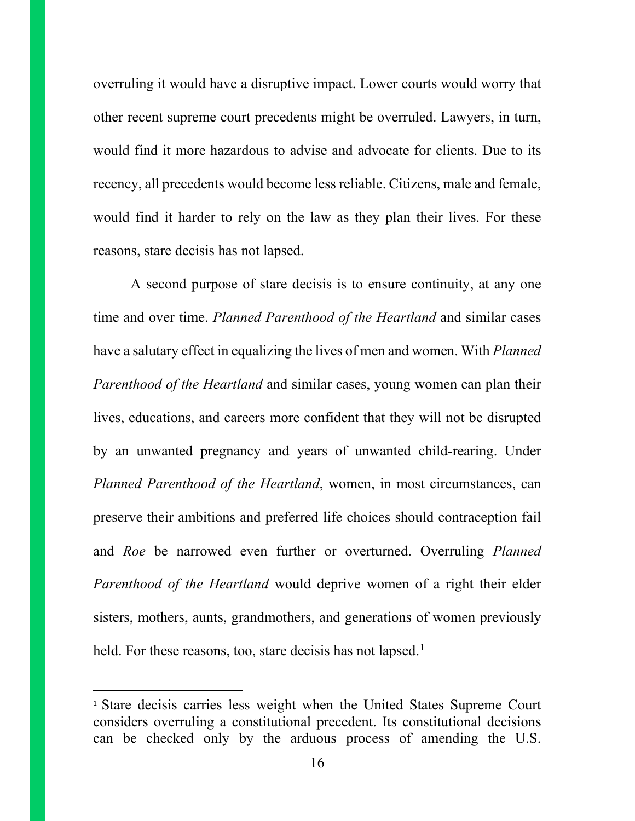overruling it would have a disruptive impact. Lower courts would worry that other recent supreme court precedents might be overruled. Lawyers, in turn, would find it more hazardous to advise and advocate for clients. Due to its recency, all precedents would become less reliable. Citizens, male and female, would find it harder to rely on the law as they plan their lives. For these reasons, stare decisis has not lapsed.

A second purpose of stare decisis is to ensure continuity, at any one time and over time. *Planned Parenthood of the Heartland* and similar cases have a salutary effect in equalizing the lives of men and women. With *Planned Parenthood of the Heartland* and similar cases, young women can plan their lives, educations, and careers more confident that they will not be disrupted by an unwanted pregnancy and years of unwanted child-rearing. Under *Planned Parenthood of the Heartland*, women, in most circumstances, can preserve their ambitions and preferred life choices should contraception fail and *Roe* be narrowed even further or overturned. Overruling *Planned Parenthood of the Heartland* would deprive women of a right their elder sisters, mothers, aunts, grandmothers, and generations of women previously held. For these reasons, too, stare decisis has not lapsed.<sup>[1](#page-15-0)</sup>

<span id="page-15-0"></span><sup>1</sup> Stare decisis carries less weight when the United States Supreme Court considers overruling a constitutional precedent. Its constitutional decisions can be checked only by the arduous process of amending the U.S.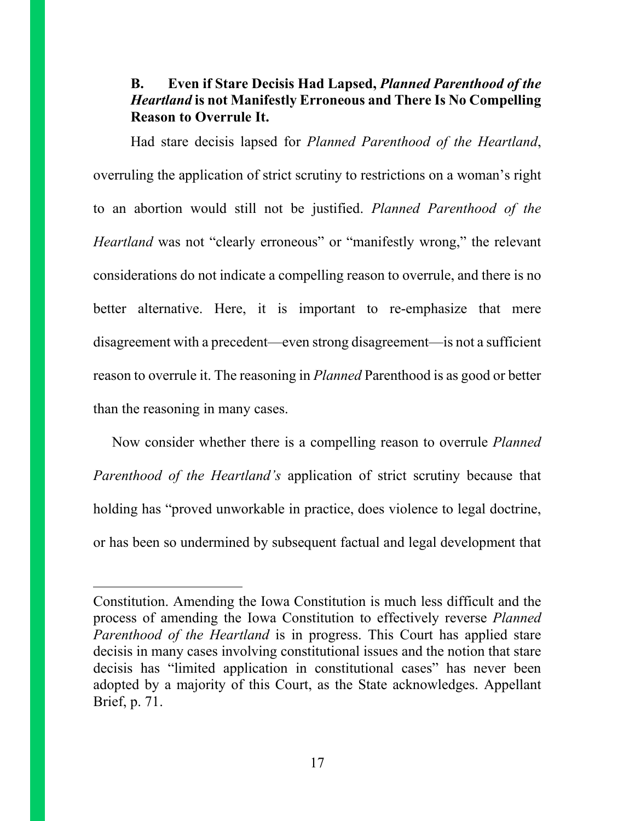### **B. Even if Stare Decisis Had Lapsed,** *Planned Parenthood of the Heartland* **is not Manifestly Erroneous and There Is No Compelling Reason to Overrule It.**

Had stare decisis lapsed for *Planned Parenthood of the Heartland*, overruling the application of strict scrutiny to restrictions on a woman's right to an abortion would still not be justified. *Planned Parenthood of the Heartland* was not "clearly erroneous" or "manifestly wrong," the relevant considerations do not indicate a compelling reason to overrule, and there is no better alternative. Here, it is important to re-emphasize that mere disagreement with a precedent—even strong disagreement—is not a sufficient reason to overrule it. The reasoning in *Planned* Parenthood is as good or better than the reasoning in many cases.

Now consider whether there is a compelling reason to overrule *Planned Parenthood of the Heartland's* application of strict scrutiny because that holding has "proved unworkable in practice, does violence to legal doctrine, or has been so undermined by subsequent factual and legal development that

Constitution. Amending the Iowa Constitution is much less difficult and the process of amending the Iowa Constitution to effectively reverse *Planned Parenthood of the Heartland* is in progress. This Court has applied stare decisis in many cases involving constitutional issues and the notion that stare decisis has "limited application in constitutional cases" has never been adopted by a majority of this Court, as the State acknowledges. Appellant Brief, p. 71.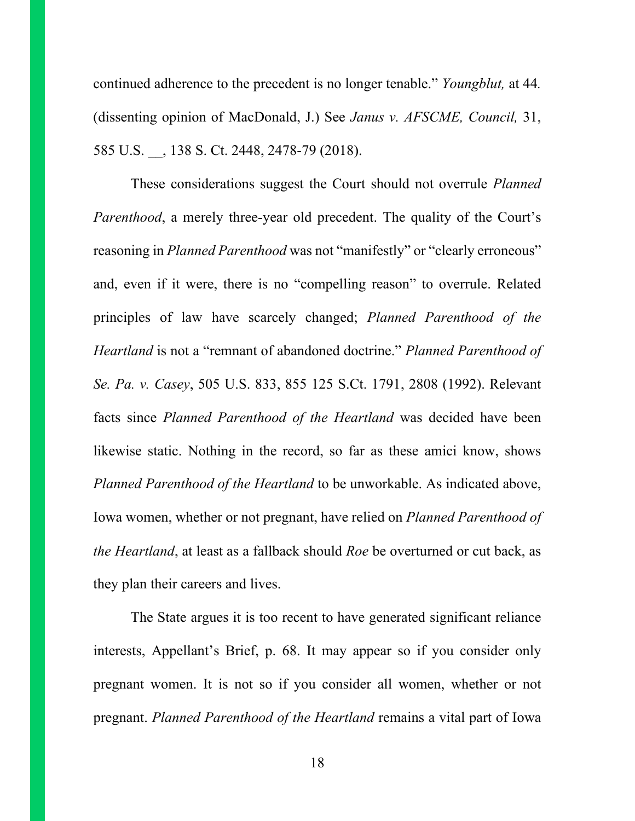continued adherence to the precedent is no longer tenable." *Youngblut,* at 44*.* (dissenting opinion of MacDonald, J.) See *Janus v. AFSCME, Council,* 31, 585 U.S. \_\_, 138 S. Ct. 2448, 2478-79 (2018).

These considerations suggest the Court should not overrule *Planned Parenthood*, a merely three-year old precedent. The quality of the Court's reasoning in *Planned Parenthood* was not "manifestly" or "clearly erroneous" and, even if it were, there is no "compelling reason" to overrule. Related principles of law have scarcely changed; *Planned Parenthood of the Heartland* is not a "remnant of abandoned doctrine." *Planned Parenthood of Se. Pa. v. Casey*, 505 U.S. 833, 855 125 S.Ct. 1791, 2808 (1992). Relevant facts since *Planned Parenthood of the Heartland* was decided have been likewise static. Nothing in the record, so far as these amici know, shows *Planned Parenthood of the Heartland* to be unworkable. As indicated above, Iowa women, whether or not pregnant, have relied on *Planned Parenthood of the Heartland*, at least as a fallback should *Roe* be overturned or cut back, as they plan their careers and lives.

The State argues it is too recent to have generated significant reliance interests, Appellant's Brief, p. 68. It may appear so if you consider only pregnant women. It is not so if you consider all women, whether or not pregnant. *Planned Parenthood of the Heartland* remains a vital part of Iowa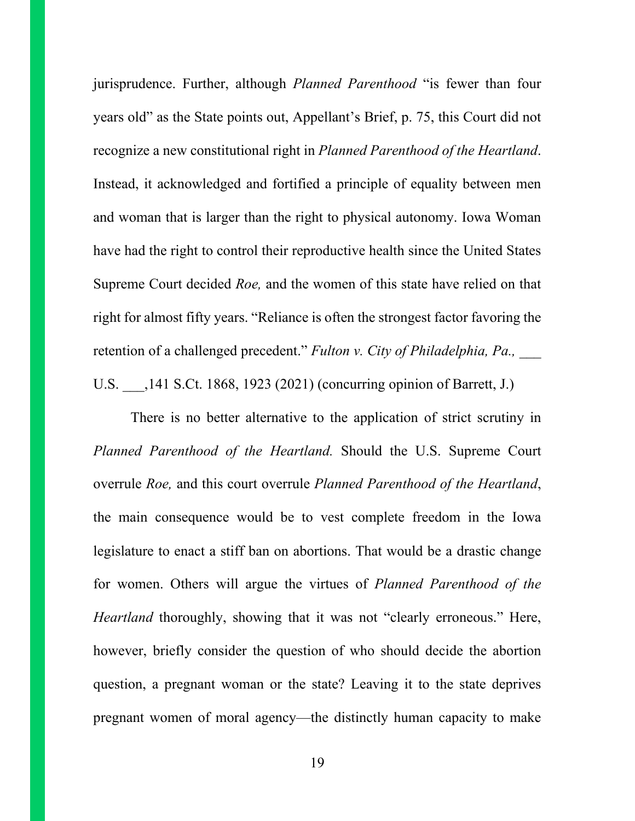jurisprudence. Further, although *Planned Parenthood* "is fewer than four years old" as the State points out, Appellant's Brief, p. 75, this Court did not recognize a new constitutional right in *Planned Parenthood of the Heartland*. Instead, it acknowledged and fortified a principle of equality between men and woman that is larger than the right to physical autonomy. Iowa Woman have had the right to control their reproductive health since the United States Supreme Court decided *Roe,* and the women of this state have relied on that right for almost fifty years. "Reliance is often the strongest factor favoring the retention of a challenged precedent." *Fulton v. City of Philadelphia, Pa.*, U.S. \_\_\_,141 S.Ct. 1868, 1923 (2021) (concurring opinion of Barrett, J.)

There is no better alternative to the application of strict scrutiny in *Planned Parenthood of the Heartland.* Should the U.S. Supreme Court overrule *Roe,* and this court overrule *Planned Parenthood of the Heartland*, the main consequence would be to vest complete freedom in the Iowa legislature to enact a stiff ban on abortions. That would be a drastic change for women. Others will argue the virtues of *Planned Parenthood of the Heartland* thoroughly, showing that it was not "clearly erroneous." Here, however, briefly consider the question of who should decide the abortion question, a pregnant woman or the state? Leaving it to the state deprives pregnant women of moral agency—the distinctly human capacity to make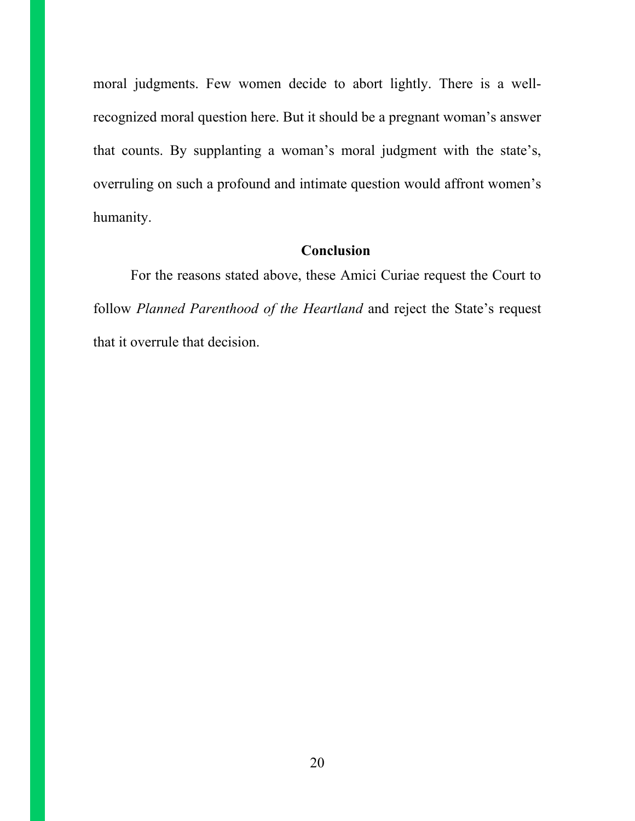moral judgments. Few women decide to abort lightly. There is a wellrecognized moral question here. But it should be a pregnant woman's answer that counts. By supplanting a woman's moral judgment with the state's, overruling on such a profound and intimate question would affront women's humanity.

### **Conclusion**

For the reasons stated above, these Amici Curiae request the Court to follow *Planned Parenthood of the Heartland* and reject the State's request that it overrule that decision.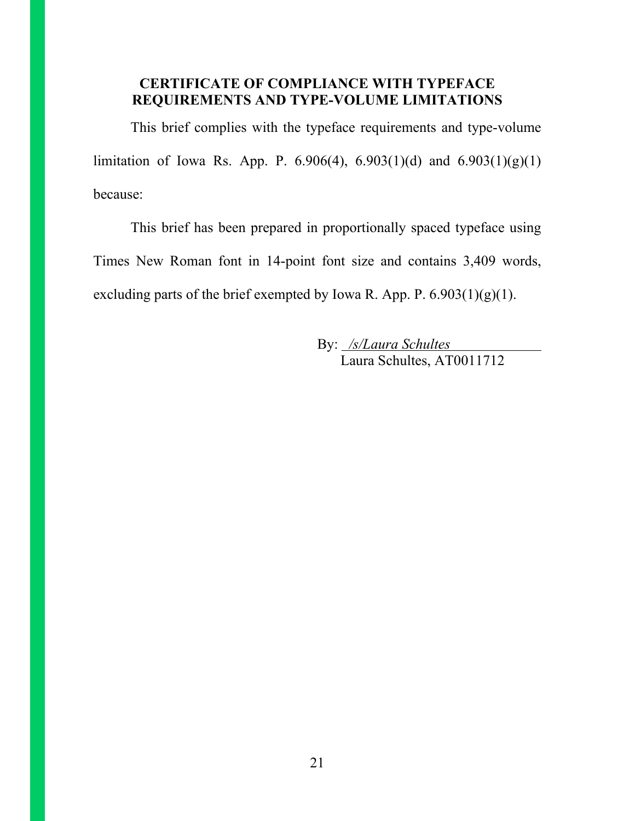### **CERTIFICATE OF COMPLIANCE WITH TYPEFACE REQUIREMENTS AND TYPE-VOLUME LIMITATIONS**

This brief complies with the typeface requirements and type-volume limitation of Iowa Rs. App. P. 6.906(4), 6.903(1)(d) and 6.903(1)(g)(1) because:

This brief has been prepared in proportionally spaced typeface using Times New Roman font in 14-point font size and contains 3,409 words, excluding parts of the brief exempted by Iowa R. App. P.  $6.903(1)(g)(1)$ .

> By: */s/Laura Schultes* Laura Schultes, AT0011712